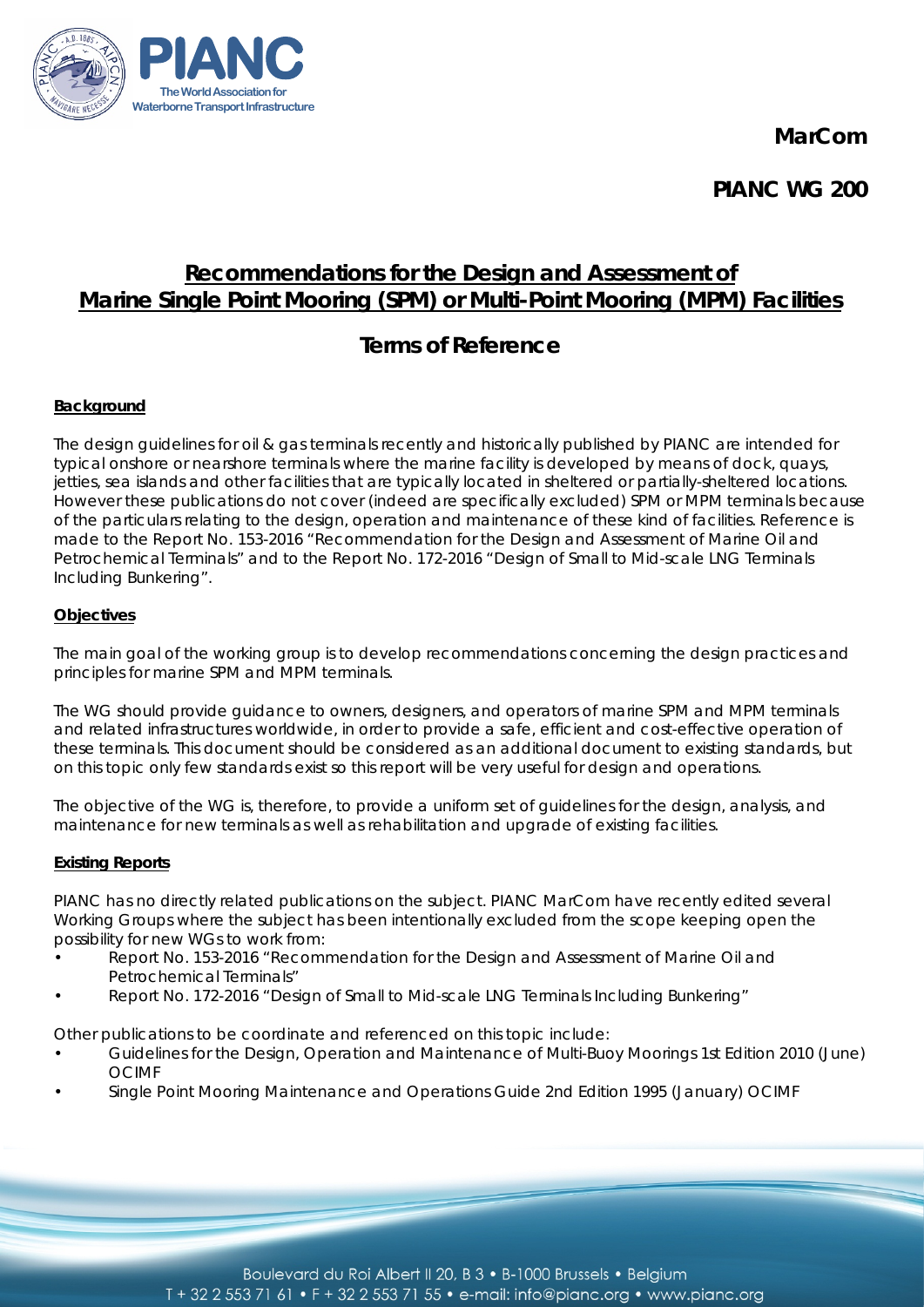**MarCom**



**PIANC WG 200**

# **Recommendations for the Design and Assessment of Marine Single Point Mooring (SPM) or Multi-Point Mooring (MPM) Facilities**

# **Terms of Reference**

## **Background**

The design guidelines for oil & gas terminals recently and historically published by PIANC are intended for typical onshore or nearshore terminals where the marine facility is developed by means of dock, quays, jetties, sea islands and other facilities that are typically located in sheltered or partially-sheltered locations. However these publications do not cover (indeed are specifically excluded) SPM or MPM terminals because of the particulars relating to the design, operation and maintenance of these kind of facilities. Reference is made to the Report No. 153-2016 "Recommendation for the Design and Assessment of Marine Oil and Petrochemical Terminals" and to the Report No. 172-2016 "Design of Small to Mid-scale LNG Terminals Including Bunkering".

## **Objectives**

The main goal of the working group is to develop recommendations concerning the design practices and principles for marine SPM and MPM terminals.

The WG should provide guidance to owners, designers, and operators of marine SPM and MPM terminals and related infrastructures worldwide, in order to provide a safe, efficient and cost-effective operation of these terminals. This document should be considered as an additional document to existing standards, but on this topic only few standards exist so this report will be very useful for design and operations.

The objective of the WG is, therefore, to provide a uniform set of guidelines for the design, analysis, and maintenance for new terminals as well as rehabilitation and upgrade of existing facilities.

## **Existing Reports**

PIANC has no directly related publications on the subject. PIANC MarCom have recently edited several Working Groups where the subject has been intentionally excluded from the scope keeping open the possibility for new WGs to work from:

- Report No. 153-2016 "Recommendation for the Design and Assessment of Marine Oil and Petrochemical Terminals"
- Report No. 172-2016 "Design of Small to Mid-scale LNG Terminals Including Bunkering"

Other publications to be coordinate and referenced on this topic include:

- Guidelines for the Design, Operation and Maintenance of Multi-Buoy Moorings 1st Edition 2010 (June) OCIMF
- Single Point Mooring Maintenance and Operations Guide 2nd Edition 1995 (January) OCIMF